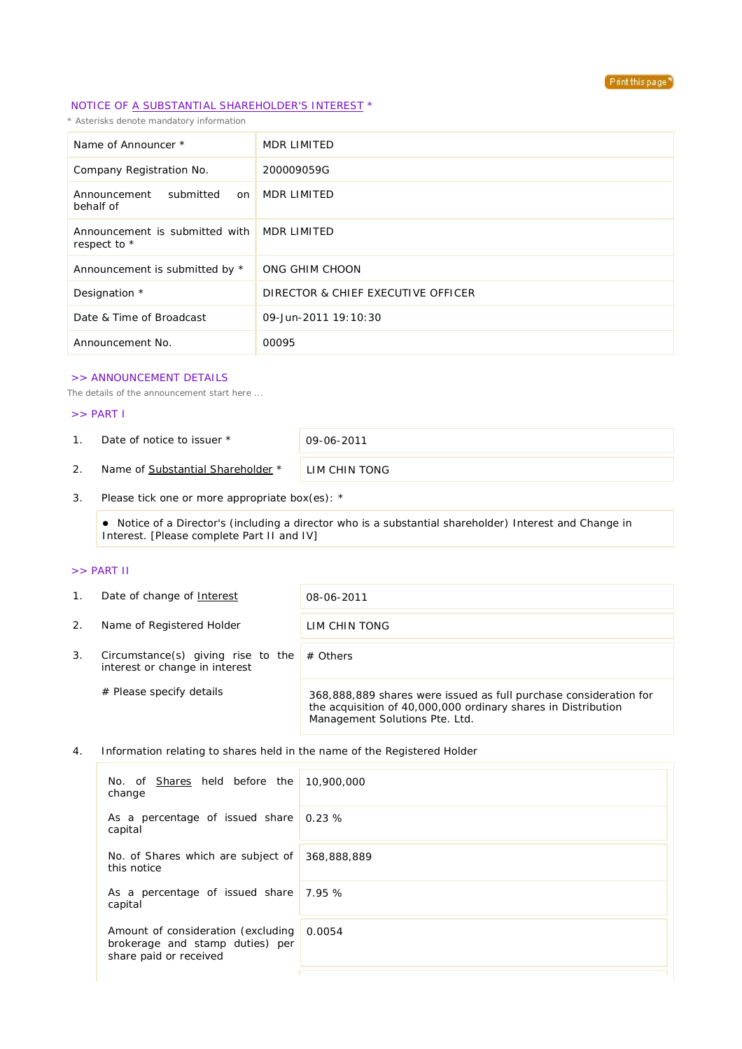

# NOTICE OF A SUBSTANTIAL SHAREHOLDER'S INTEREST \*

*\* Asterisks denote mandatory information*

| Name of Announcer *                                        | MDR LIMITED                        |
|------------------------------------------------------------|------------------------------------|
| Company Registration No.                                   | 200009059G                         |
| submitted<br>Announcement<br>on<br>behalf of               | MDR LIMITED                        |
| Announcement is submitted with MDR LIMITED<br>respect to * |                                    |
| Announcement is submitted by *                             | ONG GHIM CHOON                     |
| Designation *                                              | DIRECTOR & CHIEF EXECUTIVE OFFICER |
| Date & Time of Broadcast                                   | 09-Jun-2011 19:10:30               |
| Announcement No.                                           | 00095                              |

#### >> ANNOUNCEMENT DETAILS

*The details of the announcement start here ...*

### >> PART I

1. Date of notice to issuer \* 09-06-2011

2. Name of Substantial Shareholder \* LIM CHIN TONG

3. Please tick one or more appropriate box(es): \*

 Notice of a Director's (including a director who is a substantial shareholder) Interest and Change in Interest. [Please complete Part II and IV]

### >> PART II

| $1_{\cdot}$ | Date of change of Interest                                           | 08-06-2011                                                                                                                                                           |  |
|-------------|----------------------------------------------------------------------|----------------------------------------------------------------------------------------------------------------------------------------------------------------------|--|
| 2.          | Name of Registered Holder                                            | LIM CHIN TONG                                                                                                                                                        |  |
| 3.          | Circumstance(s) giving rise to the<br>interest or change in interest | $#$ Others                                                                                                                                                           |  |
|             | $#$ Please specify details                                           | 368,888,889 shares were issued as full purchase consideration for<br>the acquisition of 40,000,000 ordinary shares in Distribution<br>Management Solutions Pte. Ltd. |  |

#### 4. Information relating to shares held in the name of the Registered Holder

| No. of Shares held before the 10,900,000<br>change                                                     |             |
|--------------------------------------------------------------------------------------------------------|-------------|
| As a percentage of issued share $0.23\%$<br>capital                                                    |             |
| No. of Shares which are subject of<br>this notice                                                      | 368,888,889 |
| As a percentage of issued share 7.95 %<br>capital                                                      |             |
| Amount of consideration (excluding 0.0054<br>brokerage and stamp duties) per<br>share paid or received |             |